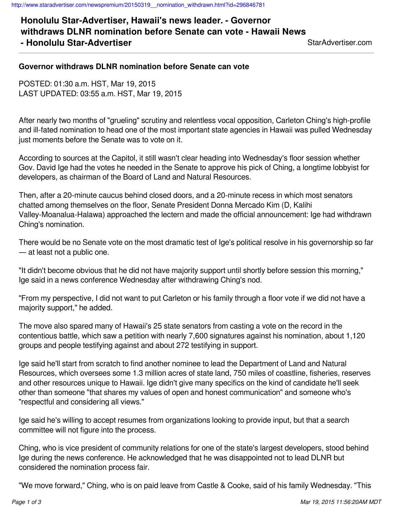**Honolulu Star-Advertiser, Hawaii's news leader. - Governor withdraws DLNR nomination before Senate can vote - Hawaii News - Honolulu Star-Advertiser** State StarAdvertiser.com

## **Governor withdraws DLNR nomination before Senate can vote**

POSTED: 01:30 a.m. HST, Mar 19, 2015 LAST UPDATED: 03:55 a.m. HST, Mar 19, 2015

After nearly two months of "grueling" scrutiny and relentless vocal opposition, Carleton Ching's high-profile and ill-fated nomination to head one of the most important state agencies in Hawaii was pulled Wednesday just moments before the Senate was to vote on it.

According to sources at the Capitol, it still wasn't clear heading into Wednesday's floor session whether Gov. David Ige had the votes he needed in the Senate to approve his pick of Ching, a longtime lobbyist for developers, as chairman of the Board of Land and Natural Resources.

Then, after a 20-minute caucus behind closed doors, and a 20-minute recess in which most senators chatted among themselves on the floor, Senate President Donna Mercado Kim (D, Kalihi Valley-Moanalua-Halawa) approached the lectern and made the official announcement: Ige had withdrawn Ching's nomination.

There would be no Senate vote on the most dramatic test of Ige's political resolve in his governorship so far — at least not a public one.

"It didn't become obvious that he did not have majority support until shortly before session this morning," Ige said in a news conference Wednesday after withdrawing Ching's nod.

"From my perspective, I did not want to put Carleton or his family through a floor vote if we did not have a majority support," he added.

The move also spared many of Hawaii's 25 state senators from casting a vote on the record in the contentious battle, which saw a petition with nearly 7,600 signatures against his nomination, about 1,120 groups and people testifying against and about 272 testifying in support.

Ige said he'll start from scratch to find another nominee to lead the Department of Land and Natural Resources, which oversees some 1.3 million acres of state land, 750 miles of coastline, fisheries, reserves and other resources unique to Hawaii. Ige didn't give many specifics on the kind of candidate he'll seek other than someone "that shares my values of open and honest communication" and someone who's "respectful and considering all views."

Ige said he's willing to accept resumes from organizations looking to provide input, but that a search committee will not figure into the process.

Ching, who is vice president of community relations for one of the state's largest developers, stood behind Ige during the news conference. He acknowledged that he was disappointed not to lead DLNR but considered the nomination process fair.

"We move forward," Ching, who is on paid leave from Castle & Cooke, said of his family Wednesday. "This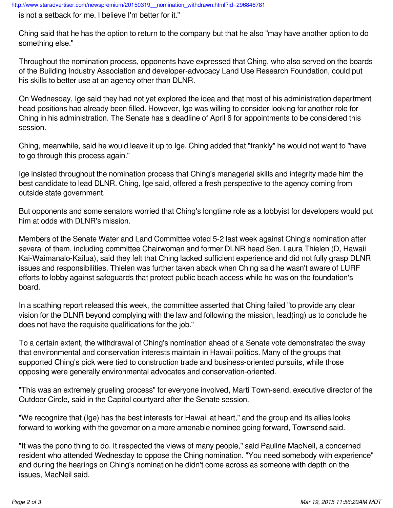is not a setback for me. I believe I'm better for it."

Ching said that he has the option to return to the company but that he also "may have another option to do something else."

Throughout the nomination process, opponents have expressed that Ching, who also served on the boards of the Building Industry Association and developer-advocacy Land Use Research Foundation, could put his skills to better use at an agency other than DLNR.

On Wednesday, Ige said they had not yet explored the idea and that most of his administration department head positions had already been filled. However, Ige was willing to consider looking for another role for Ching in his administration. The Senate has a deadline of April 6 for appointments to be considered this session.

Ching, meanwhile, said he would leave it up to Ige. Ching added that "frankly" he would not want to "have to go through this process again."

Ige insisted throughout the nomination process that Ching's managerial skills and integrity made him the best candidate to lead DLNR. Ching, Ige said, offered a fresh perspective to the agency coming from outside state government.

But opponents and some senators worried that Ching's longtime role as a lobbyist for developers would put him at odds with DLNR's mission.

Members of the Senate Water and Land Committee voted 5-2 last week against Ching's nomination after several of them, including committee Chairwoman and former DLNR head Sen. Laura Thielen (D, Hawaii Kai-Waimanalo-Kailua), said they felt that Ching lacked sufficient experience and did not fully grasp DLNR issues and responsibilities. Thielen was further taken aback when Ching said he wasn't aware of LURF efforts to lobby against safeguards that protect public beach access while he was on the foundation's board.

In a scathing report released this week, the committee asserted that Ching failed "to provide any clear vision for the DLNR beyond complying with the law and following the mission, lead(ing) us to conclude he does not have the requisite qualifications for the job."

To a certain extent, the withdrawal of Ching's nomination ahead of a Senate vote demonstrated the sway that environmental and conservation interests maintain in Hawaii politics. Many of the groups that supported Ching's pick were tied to construction trade and business-oriented pursuits, while those opposing were generally environmental advocates and conservation-oriented.

"This was an extremely grueling process" for everyone involved, Marti Town-send, executive director of the Outdoor Circle, said in the Capitol courtyard after the Senate session.

"We recognize that (Ige) has the best interests for Hawaii at heart," and the group and its allies looks forward to working with the governor on a more amenable nominee going forward, Townsend said.

"It was the pono thing to do. It respected the views of many people," said Pauline MacNeil, a concerned resident who attended Wednesday to oppose the Ching nomination. "You need somebody with experience" and during the hearings on Ching's nomination he didn't come across as someone with depth on the issues, MacNeil said.